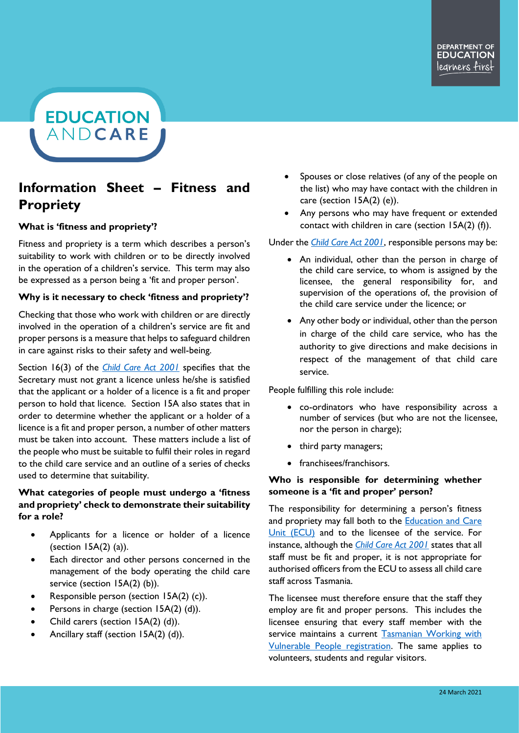**EDUCATION** ANDCARE

# **Information Sheet – Fitness and Propriety**

## **What is 'fitness and propriety'?**

Fitness and propriety is a term which describes a person's suitability to work with children or to be directly involved in the operation of a children's service. This term may also be expressed as a person being a 'fit and proper person'.

#### **Why is it necessary to check 'fitness and propriety'?**

Checking that those who work with children or are directly involved in the operation of a children's service are fit and proper persons is a measure that helps to safeguard children in care against risks to their safety and well-being.

Section 16(3) of the *[Child Care Act 2001](https://www.legislation.tas.gov.au/view/html/inforce/current/act-2001-062)* specifies that the Secretary must not grant a licence unless he/she is satisfied that the applicant or a holder of a licence is a fit and proper person to hold that licence. Section 15A also states that in order to determine whether the applicant or a holder of a licence is a fit and proper person, a number of other matters must be taken into account. These matters include a list of the people who must be suitable to fulfil their roles in regard to the child care service and an outline of a series of checks used to determine that suitability.

## **What categories of people must undergo a 'fitness and propriety' check to demonstrate their suitability for a role?**

- Applicants for a licence or holder of a licence (section 15A(2) (a)).
- Each director and other persons concerned in the management of the body operating the child care service (section 15A(2) (b)).
- Responsible person (section 15A(2) (c)).
- Persons in charge (section 15A(2) (d)).
- Child carers (section 15A(2) (d)).
- Ancillary staff (section 15A(2) (d)).
- Spouses or close relatives (of any of the people on the list) who may have contact with the children in care (section 15A(2) (e)).
- Any persons who may have frequent or extended contact with children in care (section 15A(2) (f)).

Under the *[Child Care Act 2001](https://www.legislation.tas.gov.au/view/html/inforce/current/act-2001-062)*, responsible persons may be:

- An individual, other than the person in charge of the child care service, to whom is assigned by the licensee, the general responsibility for, and supervision of the operations of, the provision of the child care service under the licence; or
- Any other body or individual, other than the person in charge of the child care service, who has the authority to give directions and make decisions in respect of the management of that child care service.

People fulfilling this role include:

- co-ordinators who have responsibility across a number of services (but who are not the licensee, nor the person in charge);
- third party managers;
- franchisees/franchisors.

## **Who is responsible for determining whether someone is a 'fit and proper' person?**

The responsibility for determining a person's fitness and propriety may fall both to the [Education and Care](https://educationandcare.tas.gov.au/)  [Unit \(ECU\)](https://educationandcare.tas.gov.au/) and to the licensee of the service. For instance, although the *[Child Care Act 2001](https://www.legislation.tas.gov.au/view/html/inforce/current/act-2001-062)* states that all staff must be fit and proper, it is not appropriate for authorised officers from the ECU to assess all child care staff across Tasmania.

The licensee must therefore ensure that the staff they employ are fit and proper persons. This includes the licensee ensuring that every staff member with the service maintains a current Tasmanian Working with [Vulnerable People registration.](https://cbos.tas.gov.au/topics/licensing-and-registration/registrations/work-with-vulnerable-people/applications/apply) The same applies to volunteers, students and regular visitors.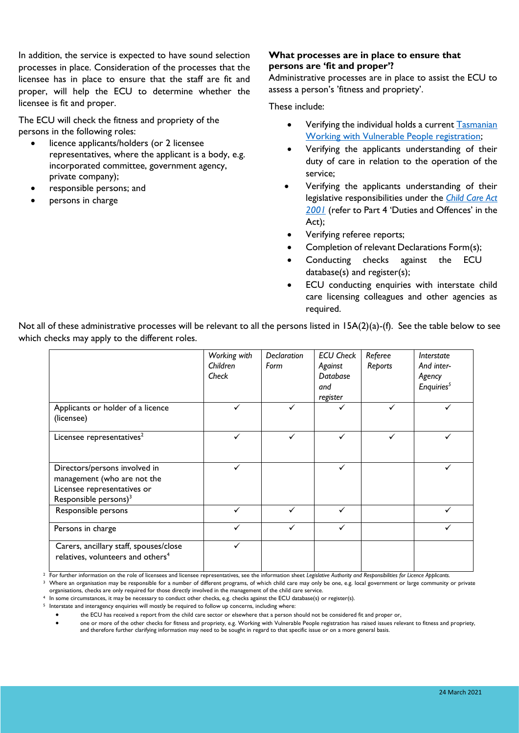In addition, the service is expected to have sound selection processes in place. Consideration of the processes that the licensee has in place to ensure that the staff are fit and proper, will help the ECU to determine whether the licensee is fit and proper.

The ECU will check the fitness and propriety of the persons in the following roles:

- licence applicants/holders (or 2 licensee representatives, where the applicant is a body, e.g. incorporated committee, government agency, private company);
- responsible persons; and
- persons in charge

## **What processes are in place to ensure that persons are 'fit and proper'?**

Administrative processes are in place to assist the ECU to assess a person's 'fitness and propriety'.

These include:

- Verifying the individual holds a curren[t Tasmanian](https://cbos.tas.gov.au/topics/licensing-and-registration/registrations/work-with-vulnerable-people/applications/apply)  [Working with Vulnerable People registration;](https://cbos.tas.gov.au/topics/licensing-and-registration/registrations/work-with-vulnerable-people/applications/apply)
- Verifying the applicants understanding of their duty of care in relation to the operation of the service;
- Verifying the applicants understanding of their legislative responsibilities under the *[Child Care Act](https://www.legislation.tas.gov.au/view/html/inforce/current/act-2001-062)  [2001](https://www.legislation.tas.gov.au/view/html/inforce/current/act-2001-062)* (refer to Part 4 'Duties and Offences' in the Act);
- Verifying referee reports;
- Completion of relevant Declarations Form(s);
- Conducting checks against the ECU database(s) and register(s);
- ECU conducting enquiries with interstate child care licensing colleagues and other agencies as required.

Not all of these administrative processes will be relevant to all the persons listed in 15A(2)(a)-(f). See the table below to see which checks may apply to the different roles.

|                                                                                                                                  | Working with<br>Children<br>Check | Declaration<br>Form | <b>ECU Check</b><br>Against<br>Database<br>and<br>register | Referee<br>Reports | Interstate<br>And inter-<br>Agency<br>Enquiries <sup>5</sup> |
|----------------------------------------------------------------------------------------------------------------------------------|-----------------------------------|---------------------|------------------------------------------------------------|--------------------|--------------------------------------------------------------|
| Applicants or holder of a licence<br>(licensee)                                                                                  |                                   |                     | ✓                                                          |                    |                                                              |
| Licensee representatives <sup>2</sup>                                                                                            | ✓                                 |                     | $\checkmark$                                               | ✓                  |                                                              |
| Directors/persons involved in<br>management (who are not the<br>Licensee representatives or<br>Responsible persons) <sup>3</sup> |                                   |                     | ✓                                                          |                    |                                                              |
| Responsible persons                                                                                                              |                                   |                     | ✓                                                          |                    |                                                              |
| Persons in charge                                                                                                                |                                   |                     |                                                            |                    |                                                              |
| Carers, ancillary staff, spouses/close<br>relatives, volunteers and others <sup>4</sup>                                          |                                   |                     |                                                            |                    |                                                              |

<sup>2</sup> For further information on the role of licensees and licensee representatives, see the information sheet *Legislative Authority and Responsibilities for Licence Applicants*.

<sup>3</sup> Where an organisation may be responsible for a number of different programs, of which child care may only be one, e.g. local government or large community or private organisations, checks are only required for those directly involved in the management of the child care service.

<sup>4</sup> In some circumstances, it may be necessary to conduct other checks, e.g. checks against the ECU database(s) or register(s).

<sup>5</sup> Interstate and interagency enquiries will mostly be required to follow up concerns, including where:

• the ECU has received a report from the child care sector or elsewhere that a person should not be considered fit and proper or,

• one or more of the other checks for fitness and propriety, e.g. Working with Vulnerable People registration has raised issues relevant to fitness and propriety, and therefore further clarifying information may need to be sought in regard to that specific issue or on a more general basis.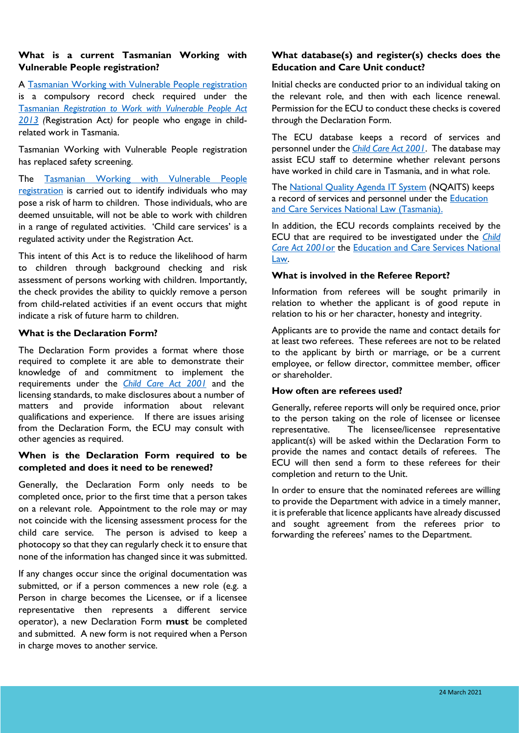## **What is a current Tasmanian Working with Vulnerable People registration?**

A [Tasmanian Working with Vulnerable People registration](https://cbos.tas.gov.au/topics/licensing-and-registration/registrations/work-with-vulnerable-people/applications/apply) is a compulsory record check required under the Tasmanian *[Registration to Work with Vulnerable People Act](https://www.legislation.tas.gov.au/view/html/inforce/current/act-2013-065)  [2013](https://www.legislation.tas.gov.au/view/html/inforce/current/act-2013-065) (*Registration Act*)* for people who engage in childrelated work in Tasmania.

Tasmanian Working with Vulnerable People registration has replaced safety screening.

The Tasmanian Working with Vulnerable People [registration](https://cbos.tas.gov.au/topics/licensing-and-registration/registrations/work-with-vulnerable-people/applications/apply) is carried out to identify individuals who may pose a risk of harm to children. Those individuals, who are deemed unsuitable, will not be able to work with children in a range of regulated activities. 'Child care services' is a regulated activity under the Registration Act.

This intent of this Act is to reduce the likelihood of harm to children through background checking and risk assessment of persons working with children. Importantly, the check provides the ability to quickly remove a person from child-related activities if an event occurs that might indicate a risk of future harm to children.

#### **What is the Declaration Form?**

The Declaration Form provides a format where those required to complete it are able to demonstrate their knowledge of and commitment to implement the requirements under the *[Child Care](https://www.legislation.tas.gov.au/view/html/inforce/current/act-2001-062) Act 2001* and the licensing standards, to make disclosures about a number of matters and provide information about relevant qualifications and experience. If there are issues arising from the Declaration Form, the ECU may consult with other agencies as required.

## **When is the Declaration Form required to be completed and does it need to be renewed?**

Generally, the Declaration Form only needs to be completed once, prior to the first time that a person takes on a relevant role. Appointment to the role may or may not coincide with the licensing assessment process for the child care service. The person is advised to keep a photocopy so that they can regularly check it to ensure that none of the information has changed since it was submitted.

If any changes occur since the original documentation was submitted, or if a person commences a new role (e.g. a Person in charge becomes the Licensee, or if a licensee representative then represents a different service operator), a new Declaration Form **must** be completed and submitted. A new form is not required when a Person in charge moves to another service.

## **What database(s) and register(s) checks does the Education and Care Unit conduct?**

Initial checks are conducted prior to an individual taking on the relevant role, and then with each licence renewal. Permission for the ECU to conduct these checks is covered through the Declaration Form.

The ECU database keeps a record of services and personnel under the *[Child Care Act 2001](https://www.legislation.tas.gov.au/view/html/inforce/current/act-2001-062)*. The database may assist ECU staff to determine whether relevant persons have worked in child care in Tasmania, and in what role.

The [National Quality Agenda IT System](https://www.acecqa.gov.au/resources/national-quality-agenda-it-system) (NQAITS) keeps a record of services and personnel under the **Education** [and Care Services National Law \(Tasmania\).](https://www.legislation.tas.gov.au/view/html/inforce/current/act-2011-048)

In addition, the ECU records complaints received by the ECU that are required to be investigated under the *[Child](https://www.legislation.tas.gov.au/view/html/inforce/current/act-2001-062)  [Care Act 2001](https://www.legislation.tas.gov.au/view/html/inforce/current/act-2001-062)*or the [Education and Care Services National](https://www.legislation.tas.gov.au/view/html/inforce/current/act-2011-048)  [Law.](https://www.legislation.tas.gov.au/view/html/inforce/current/act-2011-048)

## **What is involved in the Referee Report?**

Information from referees will be sought primarily in relation to whether the applicant is of good repute in relation to his or her character, honesty and integrity.

Applicants are to provide the name and contact details for at least two referees. These referees are not to be related to the applicant by birth or marriage, or be a current employee, or fellow director, committee member, officer or shareholder.

# **How often are referees used?**

Generally, referee reports will only be required once, prior to the person taking on the role of licensee or licensee representative. The licensee/licensee representative applicant(s) will be asked within the Declaration Form to provide the names and contact details of referees. The ECU will then send a form to these referees for their completion and return to the Unit.

In order to ensure that the nominated referees are willing to provide the Department with advice in a timely manner, it is preferable that licence applicants have already discussed and sought agreement from the referees prior to forwarding the referees' names to the Department.